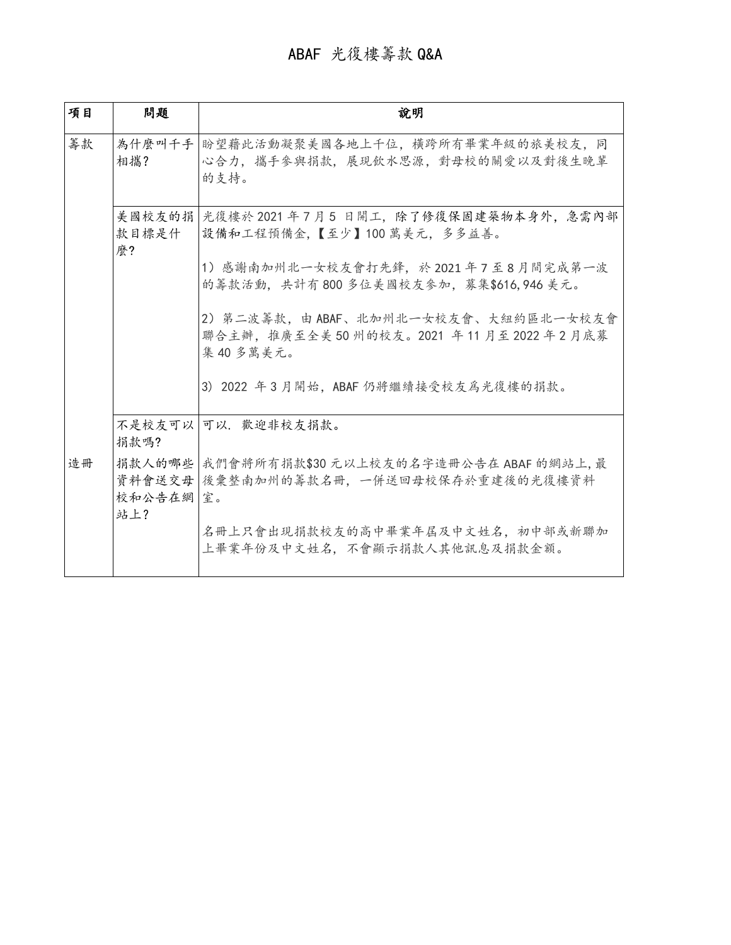| 項目 | 問題                      | 說明                                                                                               |
|----|-------------------------|--------------------------------------------------------------------------------------------------|
| 籌款 | 相攜?                     | 為什麼叫千手  盼望藉此活動凝聚美國各地上千位,橫跨所有畢業年級的旅美校友,同<br>心合力, 攜手參與捐款, 展現飲水思源, 對母校的關愛以及對後生晚輩<br>的支持。            |
|    | 款目標是什<br>麽?             | 美國校友的捐   光復樓於 2021 年 7 月 5 日開工,除了修復保固建築物本身外,急需內部<br>設備和工程預備金,【至少】100萬美元,多多益善。                    |
|    |                         | 1)感謝南加州北一女校友會打先鋒,於 2021 年 7 至 8 月間完成第一波<br>的籌款活動,共計有800多位美國校友參加,募集\$616,946 美元。                  |
|    |                         | 2)第二波籌款,由 ABAF、北加州北一女校友會、大紐約區北一女校友會<br>聯合主辦, 推廣至全美 50 州的校友。2021 年 11 月至 2022 年 2 月底募<br>集40多萬美元。 |
|    |                         | 3) 2022 年3月開始, ABAF 仍將繼續接受校友為光復樓的捐款。                                                             |
|    | 捐款嗎?                    | 不是校友可以 可以,歡迎非校友捐款。                                                                               |
| 造冊 | 捐款人的哪些<br>校和公告在網<br>站上? | 我們會將所有捐款\$30 元以上校友的名字造冊公告在 ABAF 的網站上, 最<br>資料會送交母  後彙整南加州的籌款名冊,一併送回母校保存於重建後的光復樓資料<br>室。          |
|    |                         | 名冊上只會出現捐款校友的高中畢業年屆及中文姓名,初中部或新聯加<br>上畢業年份及中文姓名,不會顯示捐款人其他訊息及捐款金額。                                  |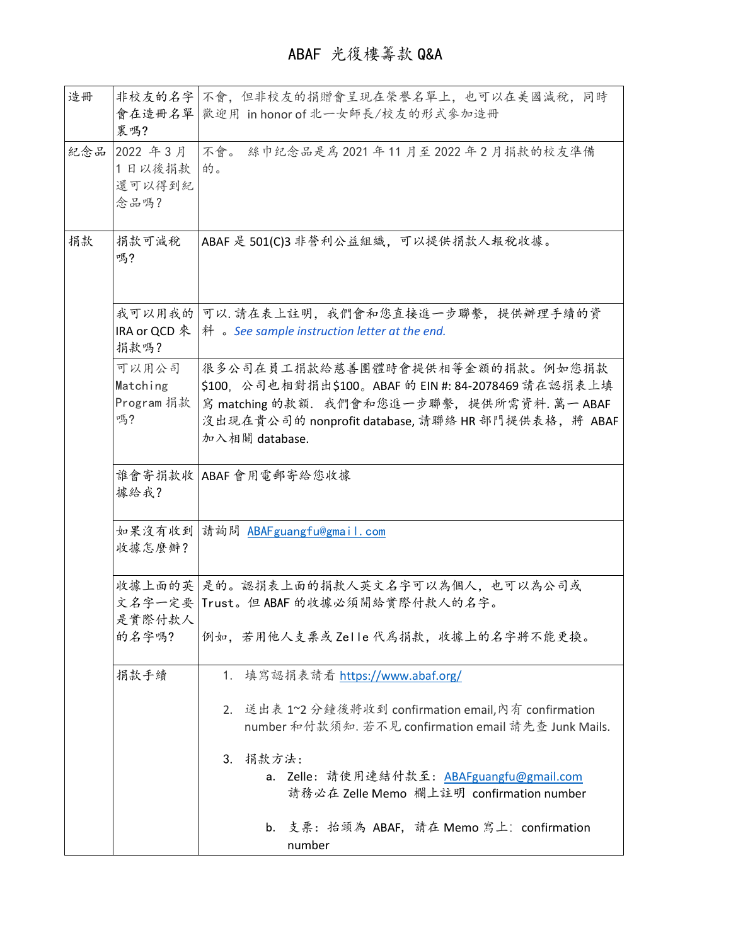| 造冊  | 會在造冊名單<br>裏嗎?                         | 非校友的名字 不會, 但非校友的捐贈會呈現在榮譽名單上, 也可以在美國減稅, 同時<br>歡迎用 in honor of 北一女師長/校友的形式參加造冊                                                                                                                                                                                                                                              |  |
|-----|---------------------------------------|---------------------------------------------------------------------------------------------------------------------------------------------------------------------------------------------------------------------------------------------------------------------------------------------------------------------------|--|
| 紀念品 | 2022 年3月<br>1日以後捐款<br>還可以得到紀<br>念品嗎?  | 不會。<br>絲巾纪念品是為2021年11月至2022年2月捐款的校友準備<br>的。                                                                                                                                                                                                                                                                               |  |
| 捐款  | 捐款可減稅<br>嗎?                           | ABAF 是 501(C)3 非營利公益組織, 可以提供捐款人報稅收據。                                                                                                                                                                                                                                                                                      |  |
|     | IRA or QCD<br>捐款嗎?                    | 我可以用我的   可以. 請在表上註明,我們會和您直接進一步聯繫,提供辦理手續的資<br>$*$ $\mathbb{H}$ $\circ$ See sample instruction letter at the end.                                                                                                                                                                                                           |  |
|     | 可以用公司<br>Matching<br>Program 捐款<br>嗎? | 很多公司在員工捐款給慈善團體時會提供相等金額的捐款。例如您捐款<br>\$100, 公司也相對捐出\$100。ABAF 的 EIN #: 84-2078469 請在認捐表上填<br>寫 matching 的款額. 我們會和您進一步聯繫, 提供所需資料. 萬一 ABAF<br>沒出現在貴公司的 nonprofit database, 請聯絡 HR 部門提供表格, 將 ABAF<br>加入相關 database.                                                                                                            |  |
|     | 據給我?                                  | 誰會寄捐款收   ABAF 會用電郵寄給您收據                                                                                                                                                                                                                                                                                                   |  |
|     | 收據怎麼辦?                                | 如果沒有收到  請詢問 ABAFguangfu@gmail.com                                                                                                                                                                                                                                                                                         |  |
|     | 是實際付款人<br>的名字嗎?                       | 收據上面的英 是的。認捐表上面的捐款人英文名字可以為個人,也可以為公司或<br>文名字一定要  Trust。但 ABAF 的收據必須開給實際付款人的名字。<br>例如,若用他人支票或 Zelle代為捐款,收據上的名字將不能更換。                                                                                                                                                                                                        |  |
|     | 捐款手續                                  | 填寫認捐表請看 <u>https://www.abaf.org/</u><br>1.<br>2. 送出表 1~2 分鐘後將收到 confirmation email,內有 confirmation<br>number 和付款須知. 若不見 confirmation email 請先查 Junk Mails.<br>捐款方法:<br>3.<br>a. Zelle: 請使用連結付款至: ABAFguangfu@gmail.com<br>請務必在 Zelle Memo 欄上註明 confirmation number<br>b. 支票: 抬頭為 ABAF, 請在 Memo 寫上: confirmation<br>number |  |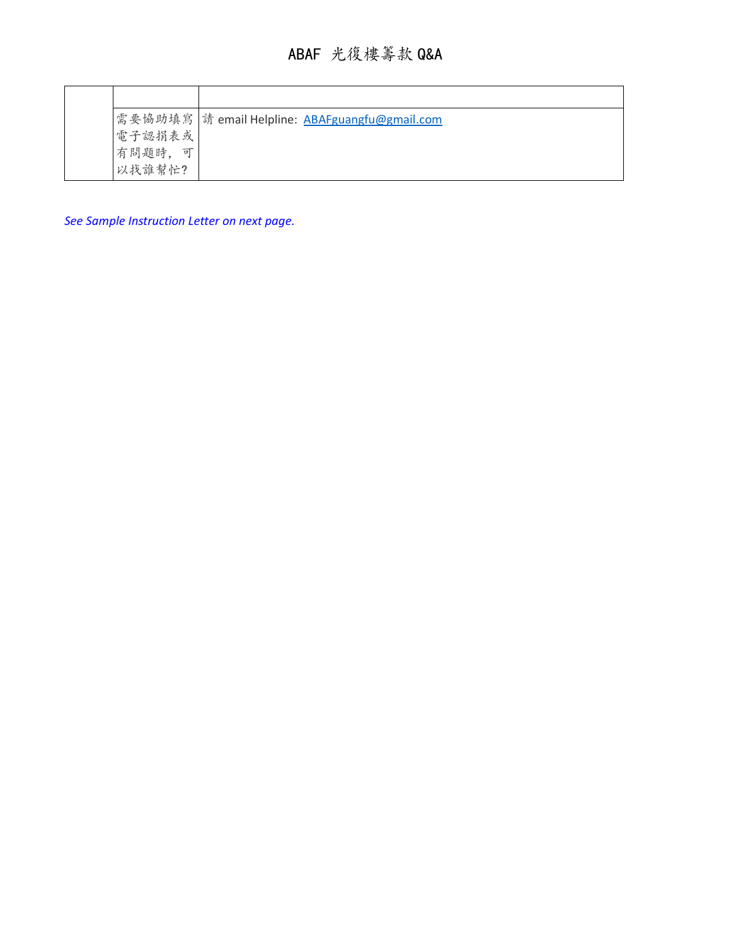|            | 需要協助填寫   請 email Helpline: ABAFguangfu@gmail.com |
|------------|--------------------------------------------------|
| 電子認捐表或     |                                                  |
| 有問題時,<br>可 |                                                  |
| 以找誰幫忙?     |                                                  |

*See Sample Instruction Letter on next page.*